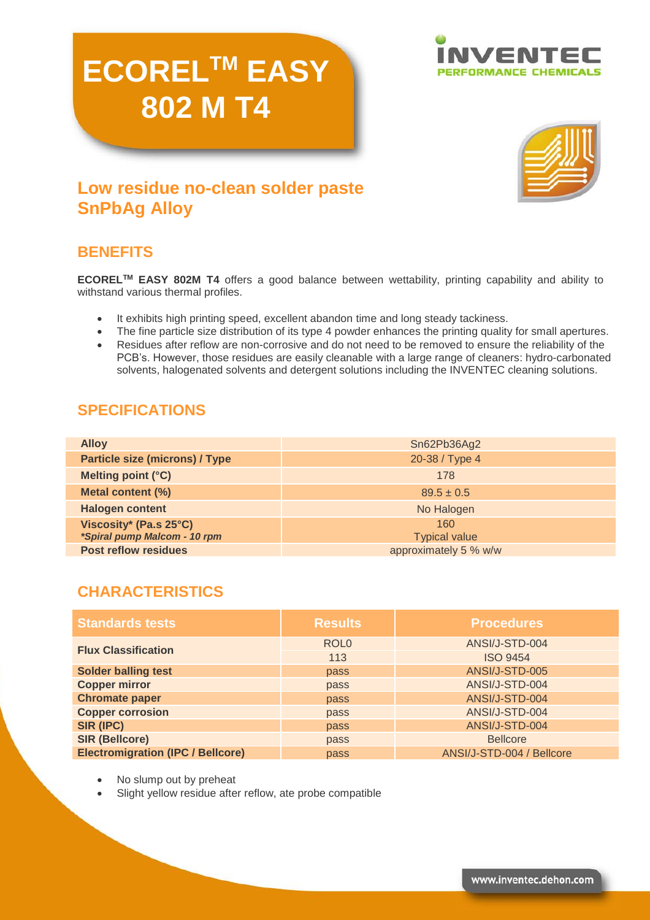# **ECORELTM EASY 802 M T4**





# **Low residue no-clean solder paste SnPbAg Alloy**

## **BENEFITS**

**ECORELTM EASY 802M T4** offers a good balance between wettability, printing capability and ability to withstand various thermal profiles.

- It exhibits high printing speed, excellent abandon time and long steady tackiness.
- The fine particle size distribution of its type 4 powder enhances the printing quality for small apertures.
- Residues after reflow are non-corrosive and do not need to be removed to ensure the reliability of the PCB's. However, those residues are easily cleanable with a large range of cleaners: hydro-carbonated solvents, halogenated solvents and detergent solutions including the INVENTEC cleaning solutions.

## **SPECIFICATIONS**

| <b>Alloy</b>                                           | Sn62Pb36Ag2                 |
|--------------------------------------------------------|-----------------------------|
| <b>Particle size (microns) / Type</b>                  | 20-38 / Type 4              |
| Melting point (°C)                                     | 178                         |
| Metal content (%)                                      | $89.5 \pm 0.5$              |
| <b>Halogen content</b>                                 | No Halogen                  |
| Viscosity* (Pa.s 25°C)<br>*Spiral pump Malcom - 10 rpm | 160<br><b>Typical value</b> |
| <b>Post reflow residues</b>                            | approximately 5 % w/w       |

# **CHARACTERISTICS**

| <b>Standards tests</b>                   | <b>Results</b>   | <b>Procedures</b>         |  |
|------------------------------------------|------------------|---------------------------|--|
| <b>Flux Classification</b>               | ROL <sub>0</sub> | ANSI/J-STD-004            |  |
|                                          | 113              | <b>ISO 9454</b>           |  |
| <b>Solder balling test</b>               | pass             | ANSI/J-STD-005            |  |
| <b>Copper mirror</b>                     | pass             | ANSI/J-STD-004            |  |
| <b>Chromate paper</b>                    | pass             | ANSI/J-STD-004            |  |
| <b>Copper corrosion</b>                  | pass             | ANSI/J-STD-004            |  |
| SIR (IPC)                                | pass             | ANSI/J-STD-004            |  |
| <b>SIR (Bellcore)</b>                    | pass             | <b>Bellcore</b>           |  |
| <b>Electromigration (IPC / Bellcore)</b> | pass             | ANSI/J-STD-004 / Bellcore |  |

- No slump out by preheat
- Slight yellow residue after reflow, ate probe compatible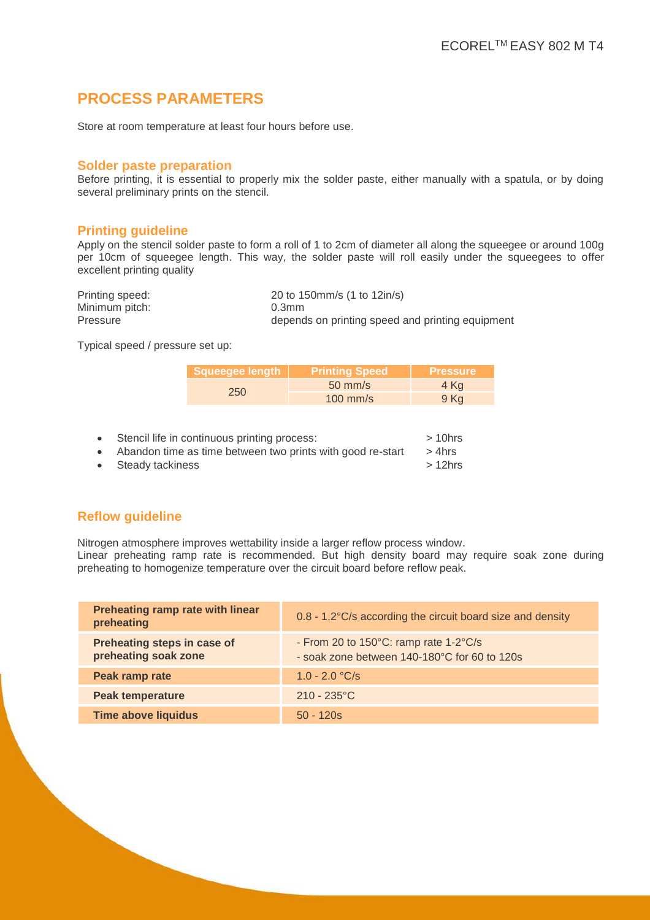## **PROCESS PARAMETERS**

Store at room temperature at least four hours before use.

#### **Solder paste preparation**

Before printing, it is essential to properly mix the solder paste, either manually with a spatula, or by doing several preliminary prints on the stencil.

#### **Printing guideline**

Apply on the stencil solder paste to form a roll of 1 to 2cm of diameter all along the squeegee or around 100g per 10cm of squeegee length. This way, the solder paste will roll easily under the squeegees to offer excellent printing quality

| Printing speed: | 20 to 150mm/s (1 to 12in/s)                      |
|-----------------|--------------------------------------------------|
| Minimum pitch:  | 0.3 <sub>mm</sub>                                |
| Pressure        | depends on printing speed and printing equipment |

Typical speed / pressure set up:

| Squeeqee length | <b>Printing Speed</b> | <b>Pressure</b> |
|-----------------|-----------------------|-----------------|
| 250             | $50 \text{ mm/s}$     | 4 Kg            |
|                 | $100$ mm/s            | 9 Kg            |

• Stencil life in continuous printing process: > 10hrs ● Abandon time as time between two prints with good re-start > 4hrs<br>● Steady tackiness > 12hrs • Steady tackiness

#### **Reflow guideline**

Nitrogen atmosphere improves wettability inside a larger reflow process window.

Linear preheating ramp rate is recommended. But high density board may require soak zone during preheating to homogenize temperature over the circuit board before reflow peak.

| Preheating ramp rate with linear<br>preheating      | 0.8 - 1.2°C/s according the circuit board size and density                                                |
|-----------------------------------------------------|-----------------------------------------------------------------------------------------------------------|
| Preheating steps in case of<br>preheating soak zone | - From 20 to $150^{\circ}$ C: ramp rate $1-2^{\circ}$ C/s<br>- soak zone between 140-180°C for 60 to 120s |
| Peak ramp rate                                      | $1.0 - 2.0 °C/s$                                                                                          |
| <b>Peak temperature</b>                             | $210 - 235^{\circ}$ C                                                                                     |
| <b>Time above liquidus</b>                          | $50 - 120s$                                                                                               |